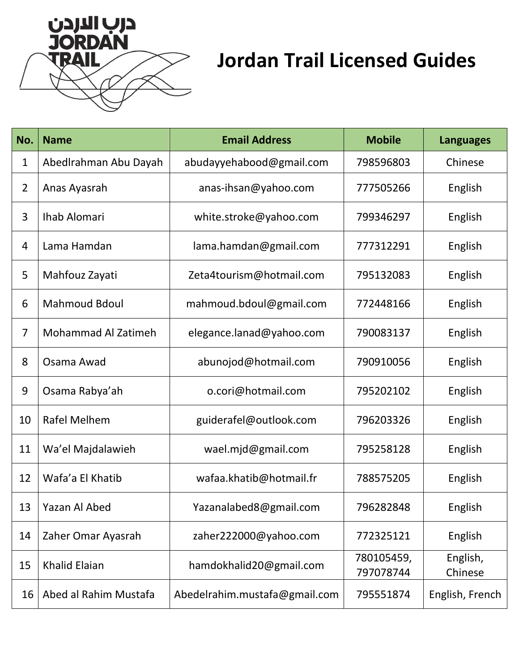

## **Jordan Trail Licensed Guides**

| No.            | <b>Name</b>                | <b>Email Address</b>          | <b>Mobile</b>           | <b>Languages</b>    |
|----------------|----------------------------|-------------------------------|-------------------------|---------------------|
| 1              | AbedIrahman Abu Dayah      | abudayyehabood@gmail.com      | 798596803               | Chinese             |
| $\overline{2}$ | Anas Ayasrah               | anas-ihsan@yahoo.com          | 777505266               | English             |
| 3              | Ihab Alomari               | white.stroke@yahoo.com        | 799346297               | English             |
| 4              | Lama Hamdan                | lama.hamdan@gmail.com         | 777312291               | English             |
| 5              | Mahfouz Zayati             | Zeta4tourism@hotmail.com      | 795132083               | English             |
| 6              | <b>Mahmoud Bdoul</b>       | mahmoud.bdoul@gmail.com       | 772448166               | English             |
| $\overline{7}$ | <b>Mohammad Al Zatimeh</b> | elegance.lanad@yahoo.com      | 790083137               | English             |
| 8              | Osama Awad                 | abunojod@hotmail.com          | 790910056               | English             |
| 9              | Osama Rabya'ah             | o.cori@hotmail.com            | 795202102               | English             |
| 10             | Rafel Melhem               | guiderafel@outlook.com        | 796203326               | English             |
| 11             | Wa'el Majdalawieh          | wael.mjd@gmail.com            | 795258128               | English             |
| 12             | Wafa'a El Khatib           | wafaa.khatib@hotmail.fr       | 788575205               | English             |
| 13             | Yazan Al Abed              | Yazanalabed8@gmail.com        | 796282848               | English             |
| 14             | Zaher Omar Ayasrah         | zaher222000@yahoo.com         | 772325121               | English             |
| 15             | <b>Khalid Elaian</b>       | hamdokhalid20@gmail.com       | 780105459,<br>797078744 | English,<br>Chinese |
| 16             | Abed al Rahim Mustafa      | Abedelrahim.mustafa@gmail.com | 795551874               | English, French     |